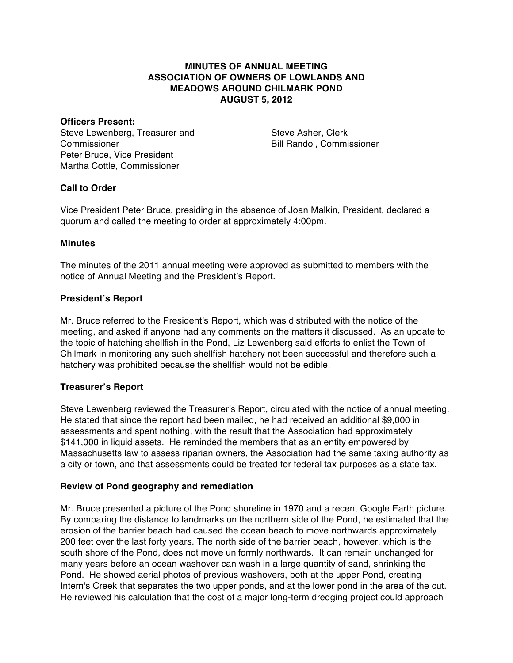## **MINUTES OF ANNUAL MEETING ASSOCIATION OF OWNERS OF LOWLANDS AND MEADOWS AROUND CHILMARK POND AUGUST 5, 2012**

#### **Officers Present:**

Steve Lewenberg, Treasurer and **Commissioner** Peter Bruce, Vice President Martha Cottle, Commissioner

Steve Asher, Clerk Bill Randol, Commissioner

### **Call to Order**

Vice President Peter Bruce, presiding in the absence of Joan Malkin, President, declared a quorum and called the meeting to order at approximately 4:00pm.

#### **Minutes**

The minutes of the 2011 annual meeting were approved as submitted to members with the notice of Annual Meeting and the President's Report.

#### **President's Report**

Mr. Bruce referred to the President's Report, which was distributed with the notice of the meeting, and asked if anyone had any comments on the matters it discussed. As an update to the topic of hatching shellfish in the Pond, Liz Lewenberg said efforts to enlist the Town of Chilmark in monitoring any such shellfish hatchery not been successful and therefore such a hatchery was prohibited because the shellfish would not be edible.

### **Treasurer's Report**

Steve Lewenberg reviewed the Treasurer's Report, circulated with the notice of annual meeting. He stated that since the report had been mailed, he had received an additional \$9,000 in assessments and spent nothing, with the result that the Association had approximately \$141,000 in liquid assets. He reminded the members that as an entity empowered by Massachusetts law to assess riparian owners, the Association had the same taxing authority as a city or town, and that assessments could be treated for federal tax purposes as a state tax.

#### **Review of Pond geography and remediation**

Mr. Bruce presented a picture of the Pond shoreline in 1970 and a recent Google Earth picture. By comparing the distance to landmarks on the northern side of the Pond, he estimated that the erosion of the barrier beach had caused the ocean beach to move northwards approximately 200 feet over the last forty years. The north side of the barrier beach, however, which is the south shore of the Pond, does not move uniformly northwards. It can remain unchanged for many years before an ocean washover can wash in a large quantity of sand, shrinking the Pond. He showed aerial photos of previous washovers, both at the upper Pond, creating Intern's Creek that separates the two upper ponds, and at the lower pond in the area of the cut. He reviewed his calculation that the cost of a major long-term dredging project could approach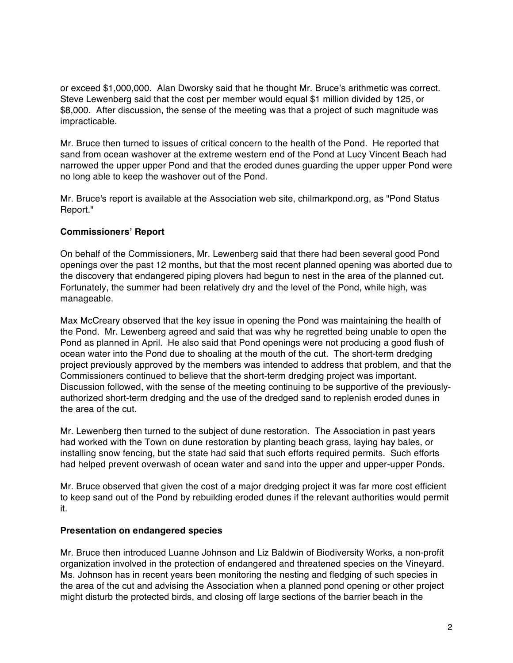or exceed \$1,000,000. Alan Dworsky said that he thought Mr. Bruce's arithmetic was correct. Steve Lewenberg said that the cost per member would equal \$1 million divided by 125, or \$8,000. After discussion, the sense of the meeting was that a project of such magnitude was impracticable.

Mr. Bruce then turned to issues of critical concern to the health of the Pond. He reported that sand from ocean washover at the extreme western end of the Pond at Lucy Vincent Beach had narrowed the upper upper Pond and that the eroded dunes guarding the upper upper Pond were no long able to keep the washover out of the Pond.

Mr. Bruce's report is available at the Association web site, chilmarkpond.org, as "Pond Status Report."

# **Commissioners' Report**

On behalf of the Commissioners, Mr. Lewenberg said that there had been several good Pond openings over the past 12 months, but that the most recent planned opening was aborted due to the discovery that endangered piping plovers had begun to nest in the area of the planned cut. Fortunately, the summer had been relatively dry and the level of the Pond, while high, was manageable.

Max McCreary observed that the key issue in opening the Pond was maintaining the health of the Pond. Mr. Lewenberg agreed and said that was why he regretted being unable to open the Pond as planned in April. He also said that Pond openings were not producing a good flush of ocean water into the Pond due to shoaling at the mouth of the cut. The short-term dredging project previously approved by the members was intended to address that problem, and that the Commissioners continued to believe that the short-term dredging project was important. Discussion followed, with the sense of the meeting continuing to be supportive of the previouslyauthorized short-term dredging and the use of the dredged sand to replenish eroded dunes in the area of the cut.

Mr. Lewenberg then turned to the subject of dune restoration. The Association in past years had worked with the Town on dune restoration by planting beach grass, laying hay bales, or installing snow fencing, but the state had said that such efforts required permits. Such efforts had helped prevent overwash of ocean water and sand into the upper and upper-upper Ponds.

Mr. Bruce observed that given the cost of a major dredging project it was far more cost efficient to keep sand out of the Pond by rebuilding eroded dunes if the relevant authorities would permit it.

### **Presentation on endangered species**

Mr. Bruce then introduced Luanne Johnson and Liz Baldwin of Biodiversity Works, a non-profit organization involved in the protection of endangered and threatened species on the Vineyard. Ms. Johnson has in recent years been monitoring the nesting and fledging of such species in the area of the cut and advising the Association when a planned pond opening or other project might disturb the protected birds, and closing off large sections of the barrier beach in the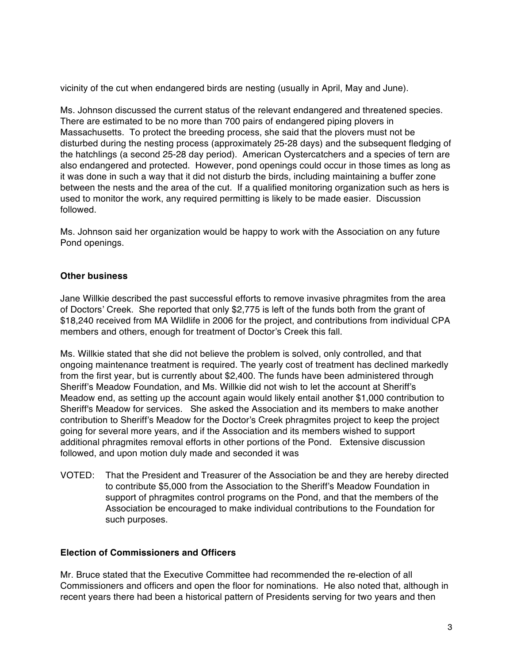vicinity of the cut when endangered birds are nesting (usually in April, May and June).

Ms. Johnson discussed the current status of the relevant endangered and threatened species. There are estimated to be no more than 700 pairs of endangered piping plovers in Massachusetts. To protect the breeding process, she said that the plovers must not be disturbed during the nesting process (approximately 25-28 days) and the subsequent fledging of the hatchlings (a second 25-28 day period). American Oystercatchers and a species of tern are also endangered and protected. However, pond openings could occur in those times as long as it was done in such a way that it did not disturb the birds, including maintaining a buffer zone between the nests and the area of the cut. If a qualified monitoring organization such as hers is used to monitor the work, any required permitting is likely to be made easier. Discussion followed.

Ms. Johnson said her organization would be happy to work with the Association on any future Pond openings.

### **Other business**

Jane Willkie described the past successful efforts to remove invasive phragmites from the area of Doctors' Creek. She reported that only \$2,775 is left of the funds both from the grant of \$18,240 received from MA Wildlife in 2006 for the project, and contributions from individual CPA members and others, enough for treatment of Doctor's Creek this fall.

Ms. Willkie stated that she did not believe the problem is solved, only controlled, and that ongoing maintenance treatment is required. The yearly cost of treatment has declined markedly from the first year, but is currently about \$2,400. The funds have been administered through Sheriff's Meadow Foundation, and Ms. Willkie did not wish to let the account at Sheriff's Meadow end, as setting up the account again would likely entail another \$1,000 contribution to Sheriff's Meadow for services. She asked the Association and its members to make another contribution to Sheriff's Meadow for the Doctor's Creek phragmites project to keep the project going for several more years, and if the Association and its members wished to support additional phragmites removal efforts in other portions of the Pond. Extensive discussion followed, and upon motion duly made and seconded it was

VOTED: That the President and Treasurer of the Association be and they are hereby directed to contribute \$5,000 from the Association to the Sheriff's Meadow Foundation in support of phragmites control programs on the Pond, and that the members of the Association be encouraged to make individual contributions to the Foundation for such purposes.

### **Election of Commissioners and Officers**

Mr. Bruce stated that the Executive Committee had recommended the re-election of all Commissioners and officers and open the floor for nominations. He also noted that, although in recent years there had been a historical pattern of Presidents serving for two years and then